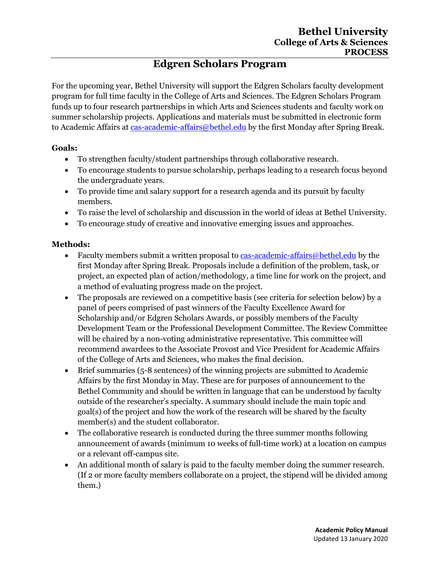# **Edgren Scholars Program**

For the upcoming year, Bethel University will support the Edgren Scholars faculty development program for full time faculty in the College of Arts and Sciences. The Edgren Scholars Program funds up to four research partnerships in which Arts and Sciences students and faculty work on summer scholarship projects. Applications and materials must be submitted in electronic form to Academic Affairs a[t cas-academic-affairs@bethel.edu](mailto:cas-academic-affairs@bethel.edu) by the first Monday after Spring Break.

### **Goals:**

- To strengthen faculty/student partnerships through collaborative research.
- To encourage students to pursue scholarship, perhaps leading to a research focus beyond the undergraduate years.
- To provide time and salary support for a research agenda and its pursuit by faculty members.
- To raise the level of scholarship and discussion in the world of ideas at Bethel University.
- To encourage study of creative and innovative emerging issues and approaches.

## **Methods:**

- Faculty members submit a written proposal to [cas-academic-affairs@bethel.edu](mailto:cas-academic-affairs@bethel.edu) by the first Monday after Spring Break. Proposals include a definition of the problem, task, or project, an expected plan of action/methodology, a time line for work on the project, and a method of evaluating progress made on the project.
- The proposals are reviewed on a competitive basis (see criteria for selection below) by a panel of peers comprised of past winners of the Faculty Excellence Award for Scholarship and/or Edgren Scholars Awards, or possibly members of the Faculty Development Team or the Professional Development Committee. The Review Committee will be chaired by a non-voting administrative representative. This committee will recommend awardees to the Associate Provost and Vice President for Academic Affairs of the College of Arts and Sciences, who makes the final decision.
- Brief summaries (5-8 sentences) of the winning projects are submitted to Academic Affairs by the first Monday in May. These are for purposes of announcement to the Bethel Community and should be written in language that can be understood by faculty outside of the researcher's specialty. A summary should include the main topic and goal(s) of the project and how the work of the research will be shared by the faculty member(s) and the student collaborator.
- The collaborative research is conducted during the three summer months following announcement of awards (minimum 10 weeks of full-time work) at a location on campus or a relevant off-campus site.
- An additional month of salary is paid to the faculty member doing the summer research. (If 2 or more faculty members collaborate on a project, the stipend will be divided among them.)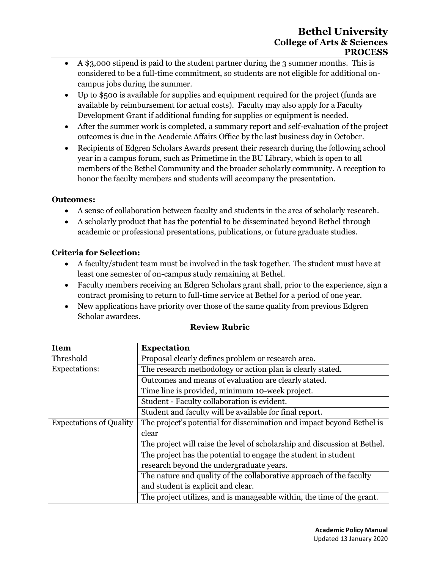- A \$3,000 stipend is paid to the student partner during the 3 summer months. This is considered to be a full-time commitment, so students are not eligible for additional oncampus jobs during the summer.
- Up to \$500 is available for supplies and equipment required for the project (funds are available by reimbursement for actual costs). Faculty may also apply for a Faculty Development Grant if additional funding for supplies or equipment is needed.
- After the summer work is completed, a summary report and self-evaluation of the project outcomes is due in the Academic Affairs Office by the last business day in October.
- Recipients of Edgren Scholars Awards present their research during the following school year in a campus forum, such as Primetime in the BU Library, which is open to all members of the Bethel Community and the broader scholarly community. A reception to honor the faculty members and students will accompany the presentation.

## **Outcomes:**

- A sense of collaboration between faculty and students in the area of scholarly research.
- A scholarly product that has the potential to be disseminated beyond Bethel through academic or professional presentations, publications, or future graduate studies.

# **Criteria for Selection:**

- A faculty/student team must be involved in the task together. The student must have at least one semester of on-campus study remaining at Bethel.
- Faculty members receiving an Edgren Scholars grant shall, prior to the experience, sign a contract promising to return to full-time service at Bethel for a period of one year.
- New applications have priority over those of the same quality from previous Edgren Scholar awardees.

| <b>Item</b>                    | <b>Expectation</b>                                                        |
|--------------------------------|---------------------------------------------------------------------------|
| Threshold                      | Proposal clearly defines problem or research area.                        |
| <b>Expectations:</b>           | The research methodology or action plan is clearly stated.                |
|                                | Outcomes and means of evaluation are clearly stated.                      |
|                                | Time line is provided, minimum 10-week project.                           |
|                                | Student - Faculty collaboration is evident.                               |
|                                | Student and faculty will be available for final report.                   |
| <b>Expectations of Quality</b> | The project's potential for dissemination and impact beyond Bethel is     |
|                                | clear                                                                     |
|                                | The project will raise the level of scholarship and discussion at Bethel. |
|                                | The project has the potential to engage the student in student            |
|                                | research beyond the undergraduate years.                                  |
|                                | The nature and quality of the collaborative approach of the faculty       |
|                                | and student is explicit and clear.                                        |
|                                | The project utilizes, and is manageable within, the time of the grant.    |

# **Review Rubric**